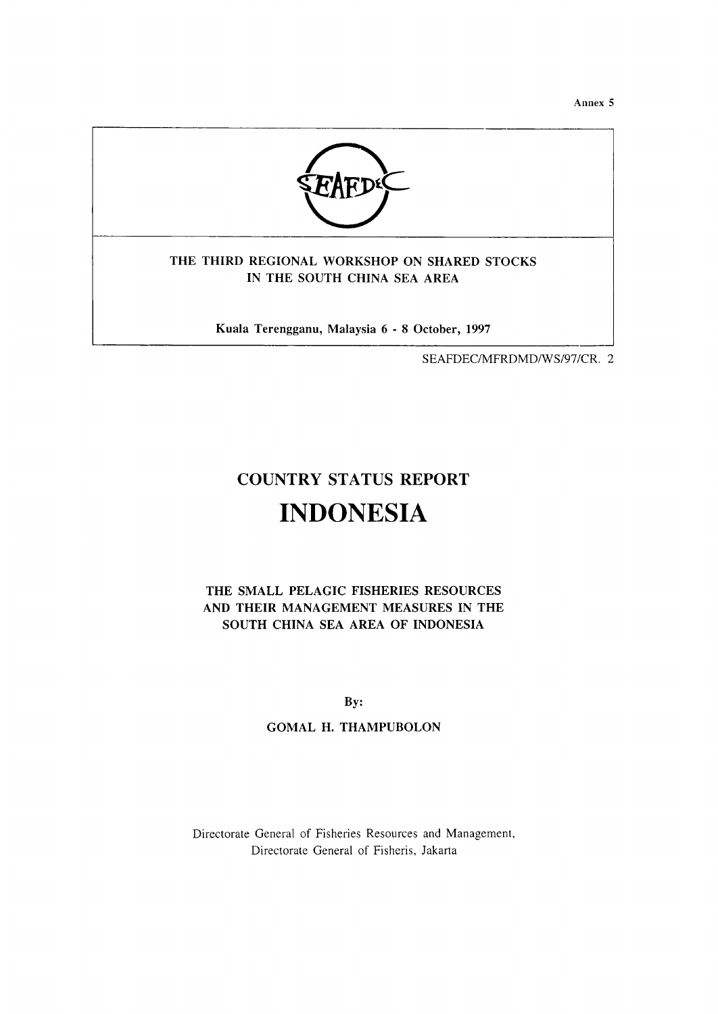**THE THIRD REGIONAL WORKSHOP ON SHARED STOCKS IN THE SOUTH CHINA SEA AREA**

**Kuala Terengganu, Malaysia 6 - 8 October, 1997**

SEAFDEC/MFRDMD/WS/97/CR. 2

# **COUNTRY STATUS REPORT INDONESIA**

**THE SMALL PELAGIC FISHERIES RESOURCES AND THEIR MANAGEMENT MEASURES IN THE SOUTH CHINA SEA AREA OF INDONESIA**

**By:**

#### **GOMAL H. THAMPUBOLON**

Directorate General of Fisheries Resources and Management, Directorate General of Fisheris, Jakarta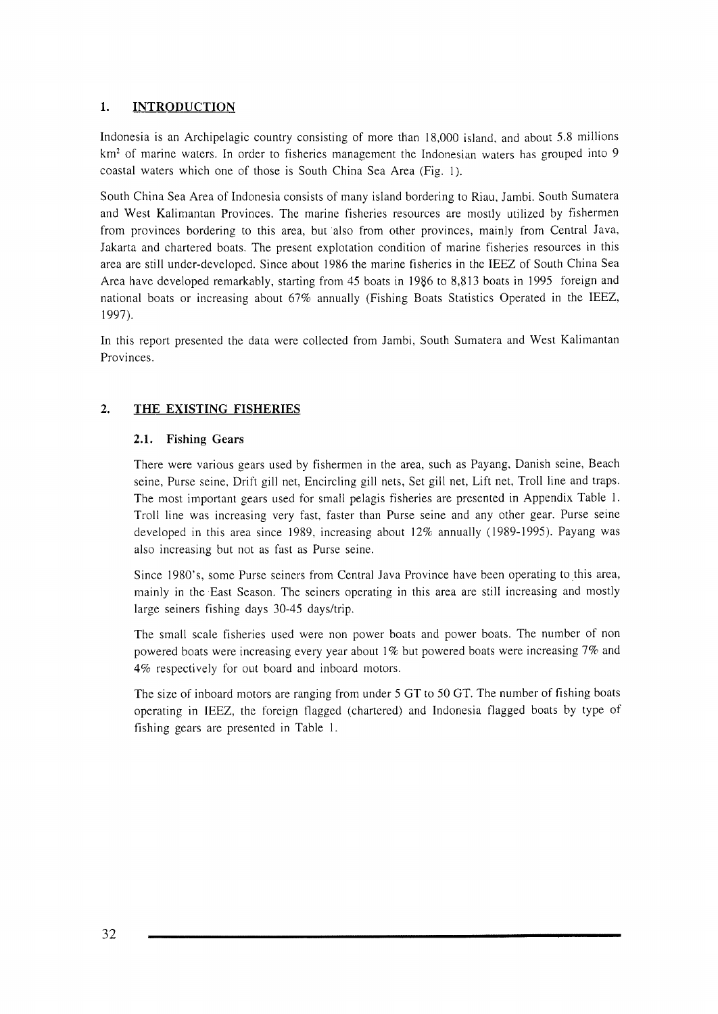#### **1. INTRODUCTION**

Indonesia is an Archipelagic country consisting of more than 18,000 island, and about 5.8 millions  $km<sup>2</sup>$  of marine waters. In order to fisheries management the Indonesian waters has grouped into 9 coastal waters which one of those is South China Sea Area (Fig. 1).

South China Sea Area of Indonesia consists of many island bordering to Riau, Jambi. South Sumatera and West Kalimantan Provinces. The marine fisheries resources are mostly utilized by fishermen from provinces bordering to this area, but also from other provinces, mainly from Central Java, Jakarta and chartered boats. The present explotation condition of marine fisheries resources in this area are still under-developed. Since about 1986 the marine fisheries in the IEEZ of South China Sea Area have developed remarkably, starting from 45 boats in 1986 to 8,813 boats in 1995 foreign and national boats or increasing about 67% annually (Fishing Boats Statistics Operated in the IEEZ, 1997).

In this report presented the data were collected from Jambi, South Sumatera and West Kalimantan Provinces.

### **2. THE EXISTING FISHERIES**

#### **2.1. Fishing Gears**

There were various gears used by fishermen in the area, such as Payang, Danish seine, Beach seine, Purse seine, Drift gill net, Encircling gill nets, Set gill net, Lift net, Troll line and traps. The most important gears used for small pelagis fisheries are presented in Appendix Table 1. Troll line was increasing very fast, faster than Purse seine and any other gear. Purse seine developed in this area since 1989, increasing about 12% annually (1989-1995). Payang was also increasing but not as fast as Purse seine.

Since 1980's, some Purse seiners from Central Java Province have been operating to this area, mainly in the East Season. The seiners operating in this area are still increasing and mostly large seiners fishing days 30-45 days/trip.

The small scale fisheries used were non power boats and power boats. The number of non powered boats were increasing every year about 1% but powered boats were increasing 7% and 4% respectively for out board and inboard motors.

The size of inboard motors are ranging from under 5 GT to 50 GT. The number of fishing boats operating in IEEZ, the foreign flagged (chartered) and Indonesia flagged boats by type of fishing gears are presented in Table 1.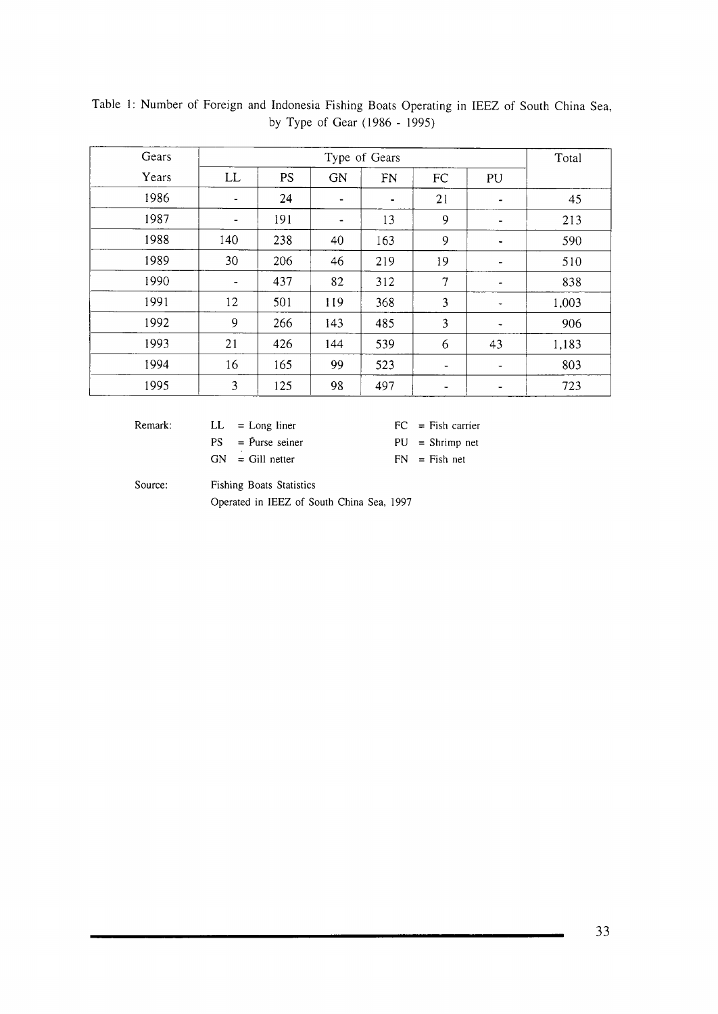| Gears |     | Type of Gears |           |                              |        |                          |       |  |
|-------|-----|---------------|-----------|------------------------------|--------|--------------------------|-------|--|
| Years | LL  | <b>PS</b>     | <b>GN</b> | FN                           | FC     | PU                       |       |  |
| 1986  |     | 24            |           | $\qquad \qquad \blacksquare$ | 21     | -                        | 45    |  |
| 1987  |     | 191           | ٠         | 13                           | 9      | $\blacksquare$           | 213   |  |
| 1988  | 140 | 238           | 40        | 163                          | 9      | -                        | 590   |  |
| 1989  | 30  | 206           | 46        | 219                          | 19     |                          | 510   |  |
| 1990  |     | 437           | 82        | 312                          | $\tau$ |                          | 838   |  |
| 1991  | 12  | 501           | 119       | 368                          | 3      | ٠                        | 1,003 |  |
| 1992  | 9   | 266           | 143       | 485                          | 3      | $\overline{\phantom{a}}$ | 906   |  |
| 1993  | 21  | 426           | 144       | 539                          | 6      | 43                       | 1,183 |  |
| 1994  | 16  | 165           | 99        | 523                          | ۰      | ٠                        | 803   |  |
| 1995  | 3   | 125           | 98        | 497                          |        |                          | 723   |  |

Table 1: Number of Foreign and Indonesia Fishing Boats Operating in IEEZ of South China Sea, by Type of Gear (1986 - 1995)

Remark:  $LL = Long$  liner FC = Fish carrier PS = Purse seiner PU = Shrimp net

 $GN = Gil$  netter FN = Fish net

Source: Fishing Boats Statistics

Operated in IEEZ of South China Sea, 1997

33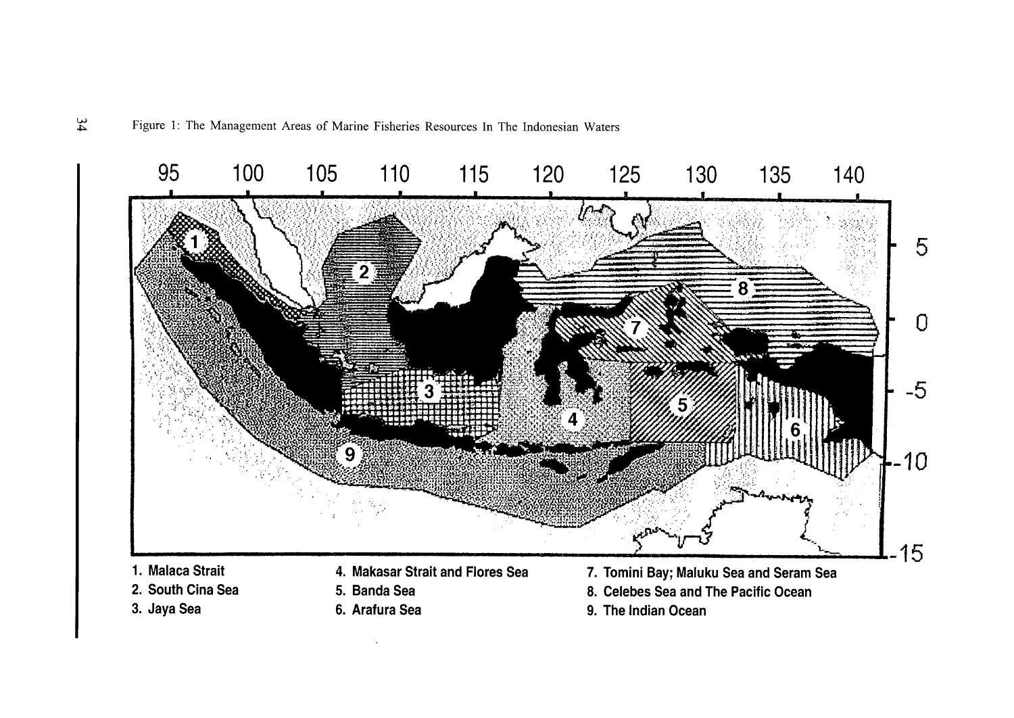Figure 1: The Management Areas of Marine Fisheries Resources In The Indonesian Waters



6. Arafura Sea

9. The Indian Ocean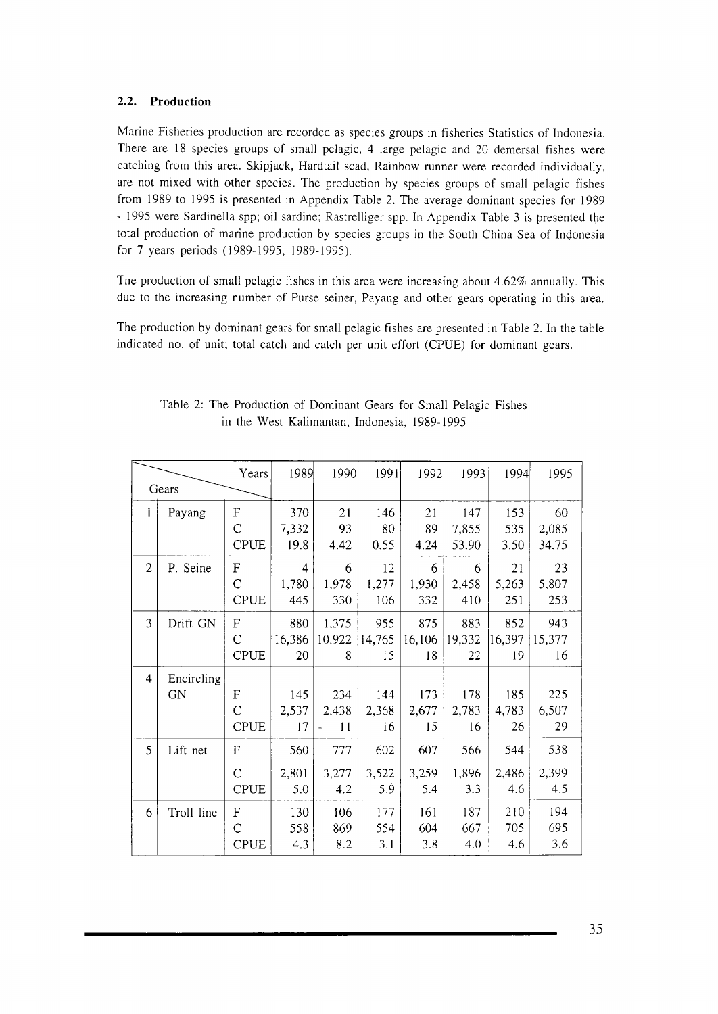#### **2.2. Production**

Marine Fisheries production are recorded as species groups in fisheries Statistics of Indonesia. There are 18 species groups of small pelagic, 4 large pelagic and 20 demersal fishes were catching from this area. Skipjack, Hardtail scad, Rainbow runner were recorded individually, are not mixed with other species. The production by species groups of small pelagic fishes from 1989 to 1995 is presented in Appendix Table 2. The average dominant species for 1989 - 1995 were Sardinella spp; oil sardine; Rastrelliger spp. In Appendix Table 3 is presented the total production of marine production by species groups in the South China Sea of Indonesia for 7 years periods (1989-1995, 1989-1995).

The production of small pelagic fishes in this area were increasing about 4.62% annually. This due to the increasing number of Purse seiner, Payang and other gears operating in this area.

The production by dominant gears for small pelagic fishes are presented in Table 2. In the table indicated no. of unit; total catch and catch per unit effort (CPUE) for dominant gears.

| Years          |            | 1989           | 1990           | 1991     | 1992   | 1993   | 1994   | 1995   |        |
|----------------|------------|----------------|----------------|----------|--------|--------|--------|--------|--------|
| Gears          |            |                |                |          |        |        |        |        |        |
| 1              | Payang     | F              | 370            | 21       | 146    | 21     | 147    | 153    | 60     |
|                |            | $\overline{C}$ | 7,332          | 93       | 80     | 89     | 7,855  | 535    | 2,085  |
|                |            | <b>CPUE</b>    | 19.8           | 4.42     | 0.55   | 4.24   | 53.90  | 3.50   | 34.75  |
| $\overline{2}$ | P. Seine   | ${\bf F}$      | $\overline{4}$ | 6        | 12     | 6      | 6      | 21     | 23     |
|                |            | C              | 1,780          | 1,978    | 1,277  | 1,930  | 2,458  | 5,263  | 5,807  |
|                |            | <b>CPUE</b>    | 445            | 330      | 106    | 332    | 410    | 251    | 253    |
| 3              | Drift GN   | F              | 880            | 1,375    | 955    | 875    | 883    | 852    | 943    |
|                |            | C              | 16,386         | 10.922   | 14,765 | 16,106 | 19,332 | 16,397 | 15,377 |
|                |            | <b>CPUE</b>    | 20             | 8        | 15     | 18     | 22     | 19     | 16     |
| $\overline{4}$ | Encircling |                |                |          |        |        |        |        |        |
|                | <b>GN</b>  | F              | 145            | 234      | 144    | 173    | 178    | 185    | 225    |
|                |            | С              | 2,537          | 2,438    | 2,368  | 2,677  | 2,783  | 4,783  | 6,507  |
|                |            | <b>CPUE</b>    | 17             | 11<br>÷. | 16     | 15     | 16     | 26     | 29     |
| 5              | Lift net   | $\mathbf F$    | 560            | 777      | 602    | 607    | 566    | 544    | 538    |
|                |            | Ċ              | 2,801          | 3,277    | 3,522  | 3,259  | 1,896  | 2,486  | 2,399  |
|                |            | <b>CPUE</b>    | 5.0            | 4.2      | 5.9    | 5.4    | 3.3    | 4.6    | 4.5    |
| 6              | Troll line | F              | 130            | 106      | 177    | 161    | 187    | 210    | 194    |
|                |            | C              | 558            | 869      | 554    | 604    | 667    | 705    | 695    |
|                |            | <b>CPUE</b>    | 4.3            | 8.2      | 3.1    | 3.8    | 4.0    | 4.6    | 3.6    |

Table 2: The Production of Dominant Gears for Small Pelagic Fishes in the West Kalimantan, Indonesia, 1989-1995

35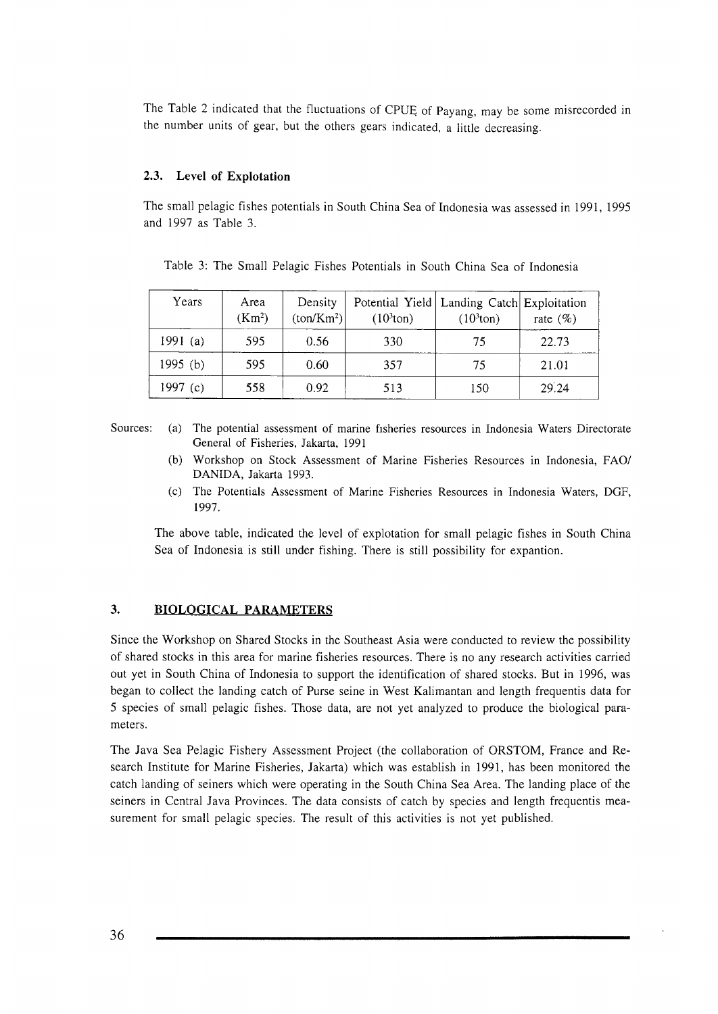The Table 2 indicated that the fluctuations of CPUE of Payang, may be some misrecorded in the number units of gear, but the others gears indicated, a little decreasing.

#### **2.3. Level of Exploitation**

The small pelagic fishes potentials in South China Sea of Indonesia was assessed in 1991, 1995 and 1997 as Table 3.

| Years      | Area<br>(Km <sup>2</sup> ) | Density<br>$(ton/Km^2)$ | $(103$ ton) | Potential Yield   Landing Catch   Exploitation<br>$(103$ ton) | rate $(\%)$ |
|------------|----------------------------|-------------------------|-------------|---------------------------------------------------------------|-------------|
| 1991 $(a)$ | 595                        | 0.56                    | 330         | 75                                                            | 22.73       |
| $1995$ (b) | 595                        | 0.60                    | 357         | 75                                                            | 21.01       |
| 1997 $(c)$ | 558                        | 0.92                    | 513         | 150                                                           | 29.24       |

Table 3: The Small Pelagic Fishes Potentials in South China Sea of Indonesia

Sources: (a) The potential assessment of marine fisheries resources in Indonesia Waters Directorate General of Fisheries, Jakarta, 1991

- (b) Workshop on Stock Assessment of Marine Fisheries Resources in Indonesia, FAO/ DANIDA, Jakarta 1993.
- (c) The Potentials Assessment of Marine Fisheries Resources in Indonesia Waters, DGF, 1997.

The above table, indicated the level of exploitation for small pelagic fishes in South China Sea of Indonesia is still under fishing. There is still possibility for expantion.

#### **3. BIOLOGICAL PARAMETERS**

Since the Workshop on Shared Stocks in the Southeast Asia were conducted to review the possibility of shared stocks in this area for marine fisheries resources. There is no any research activities carried out yet in South China of Indonesia to support the identification of shared stocks. But in 1996, was began to collect the landing catch of Purse seine in West Kalimantan and length frequentis data for 5 species of small pelagic fishes. Those data, are not yet analyzed to produce the biological parameters.

The Java Sea Pelagic Fishery Assessment Project (the collaboration of ORSTOM, France and Research Institute for Marine Fisheries, Jakarta) which was establish in 1991, has been monitored the catch landing of seiners which were operating in the South China Sea Area. The landing place of the seiners in Central Java Provinces. The data consists of catch by species and length frequentis measurement for small pelagic species. The result of this activities is not yet published.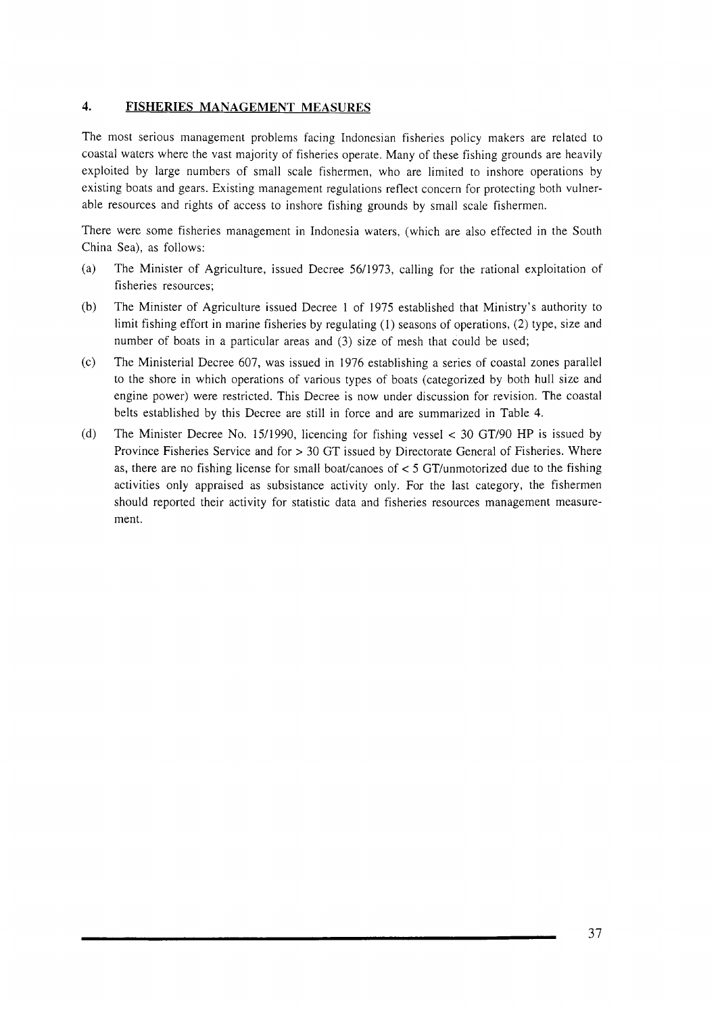#### **4. FISHERIES MANAGEMENT MEASURES**

The most serious management problems facing Indonesian fisheries policy makers are related to coastal waters where the vast majority of fisheries operate. Many of these fishing grounds are heavily exploited by large numbers of small scale fishermen, who are limited to inshore operations by existing boats and gears. Existing management regulations reflect concern for protecting both vulnerable resources and rights of access to inshore fishing grounds by small scale fishermen.

There were some fisheries management in Indonesia waters, (which are also effected in the South China Sea), as follows:

- (a) The Minister of Agriculture, issued Decree 56/1973, calling for the rational exploitation of fisheries resources;
- (b) The Minister of Agriculture issued Decree 1 of 1975 established that Ministry's authority to limit fishing effort in marine fisheries by regulating (1) seasons of operations, (2) type, size and number of boats in a particular areas and (3) size of mesh that could be used;
- (c) The Ministerial Decree 607, was issued in 1976 establishing a series of coastal zones parallel to the shore in which operations of various types of boats (categorized by both hull size and engine power) were restricted. This Decree is now under discussion for revision. The coastal belts established by this Decree are still in force and are summarized in Table 4.
- (d) The Minister Decree No. 15/1990, licencing for fishing vessel < 30 GT/90 HP is issued by Province Fisheries Service and for > 30 GT issued by Directorate General of Fisheries. Where as, there are no fishing license for small boat/canoes of < 5 GT/unmotorized due to the fishing activities only appraised as subsistance activity only. For the last category, the fishermen should reported their activity for statistic data and fisheries resources management measurement.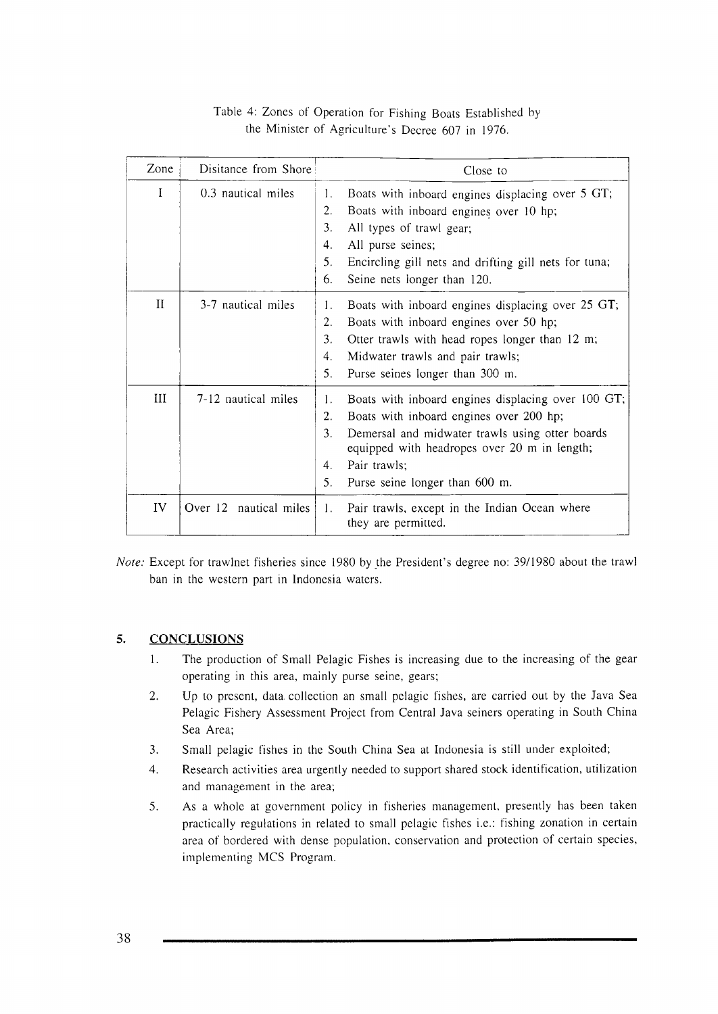| Zone  | Disitance from Shore   |                                     | Close to                                                                                                                                                                                                                                           |
|-------|------------------------|-------------------------------------|----------------------------------------------------------------------------------------------------------------------------------------------------------------------------------------------------------------------------------------------------|
| I     | 0.3 nautical miles     | 1.<br>2.<br>3.<br>4.<br>5.<br>6.    | Boats with inboard engines displacing over 5 GT;<br>Boats with inboard engines over 10 hp;<br>All types of trawl gear;<br>All purse seines;<br>Encircling gill nets and drifting gill nets for tuna;<br>Seine nets longer than 120.                |
| $\Pi$ | 3-7 nautical miles     | I.<br>2.<br>3.<br>4.<br>5.          | Boats with inboard engines displacing over 25 GT;<br>Boats with inboard engines over 50 hp;<br>Otter trawls with head ropes longer than 12 m;<br>Midwater trawls and pair trawls;<br>Purse seines longer than 300 m.                               |
| Ш     | 7-12 nautical miles    | 1.<br>2.<br>3.<br>$4_{\cdot}$<br>5. | Boats with inboard engines displacing over 100 GT;<br>Boats with inboard engines over 200 hp;<br>Demersal and midwater trawls using otter boards<br>equipped with headropes over 20 m in length;<br>Pair trawls;<br>Purse seine longer than 600 m. |
| IV    | Over 12 nautical miles | Ι.                                  | Pair trawls, except in the Indian Ocean where<br>they are permitted.                                                                                                                                                                               |

Table 4: Zones of Operation for Fishing Boats Established by the Minister of Agriculture's Decree 607 in 1976.

*Note:* Except for trawlnet fisheries since 1980 by the President's degree no: 39/1980 about the trawl ban in the western part in Indonesia waters.

#### **5. CONCLUSIONS**

- 1. The production of Small Pelagic Fishes is increasing due to the increasing of the gear operating in this area, mainly purse seine, gears;
- 2. Up to present, data collection an small pelagic fishes, are carried out by the Java Sea Pelagic Fishery Assessment Project from Central Java seiners operating in South China Sea Area;
- 3. Small pelagic fishes in the South China Sea at Indonesia is still under exploited;
- 4. Research activities area urgently needed to support shared stock identification, utilization and management in the area;
- 5. As a whole at government policy in fisheries management, presently has been taken practically regulations in related to small pelagic fishes i.e.: fishing zonation in certain area of bordered with dense population, conservation and protection of certain species, implementing MCS Program.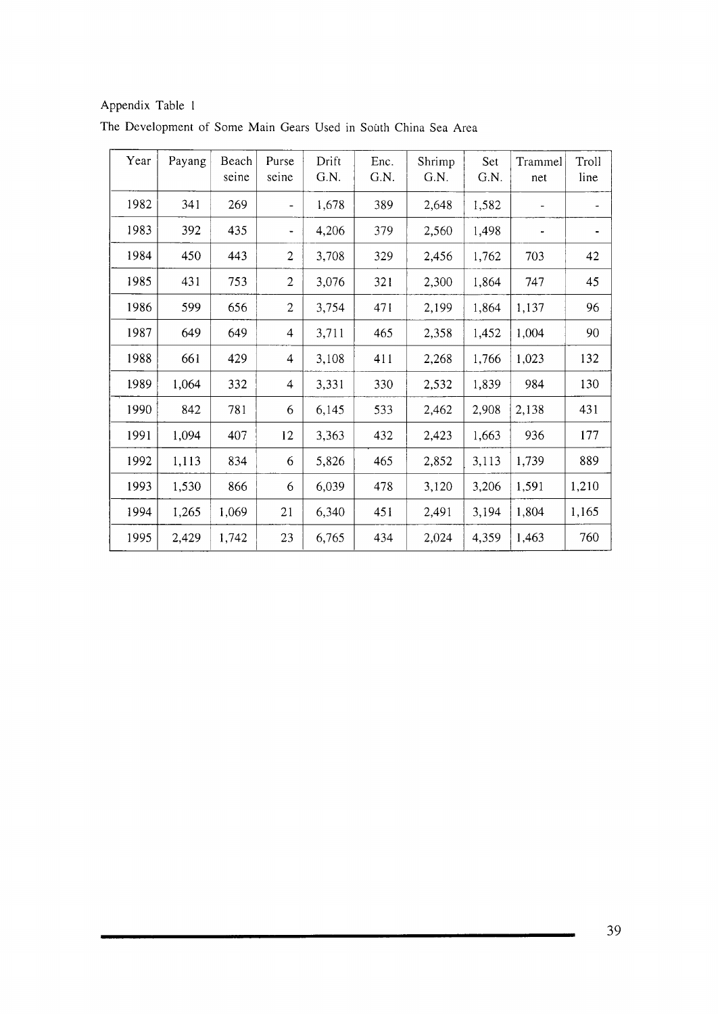# Appendix Table 1

| Year | Payang | Beach<br>seine | Purse<br>seine | Drift<br>G.N. | Enc.<br>G.N. | Shrimp<br>G.N. | Set<br>G.N. | Trammel<br>net | Troll<br>line            |
|------|--------|----------------|----------------|---------------|--------------|----------------|-------------|----------------|--------------------------|
| 1982 | 341    | 269            | -              | 1,678         | 389          | 2,648          | 1,582       | -              | $\overline{\phantom{a}}$ |
| 1983 | 392    | 435            | u,             | 4,206         | 379          | 2,560          | 1,498       |                |                          |
| 1984 | 450    | 443            | $\overline{2}$ | 3,708         | 329          | 2,456          | 1,762       | 703            | 42                       |
| 1985 | 431    | 753            | $\overline{2}$ | 3,076         | 321          | 2,300          | 1,864       | 747            | 45                       |
| 1986 | 599    | 656            | $\overline{c}$ | 3,754         | 471          | 2,199          | 1,864       | 1,137          | 96                       |
| 1987 | 649    | 649            | 4              | 3,711         | 465          | 2,358          | 1,452       | 1,004          | 90                       |
| 1988 | 661    | 429            | $\overline{4}$ | 3,108         | 411          | 2,268          | 1,766       | 1,023          | 132                      |
| 1989 | 1,064  | 332            | 4              | 3,331         | 330          | 2,532          | 1,839       | 984            | 130                      |
| 1990 | 842    | 781            | 6              | 6,145         | 533          | 2,462          | 2,908       | 2,138          | 431                      |
| 1991 | 1,094  | 407            | 12             | 3,363         | 432          | 2,423          | 1,663       | 936            | 177                      |
| 1992 | 1,113  | 834            | 6              | 5,826         | 465          | 2,852          | 3,113       | 1,739          | 889                      |
| 1993 | 1,530  | 866            | 6              | 6,039         | 478          | 3,120          | 3,206       | 1,591          | 1,210                    |
| 1994 | 1,265  | 1,069          | 21             | 6,340         | 451          | 2,491          | 3,194       | 1,804          | 1,165                    |
| 1995 | 2,429  | 1,742          | 23             | 6,765         | 434          | 2,024          | 4,359       | 1,463          | 760                      |

The Development of Some Main Gears Used in South China Sea Area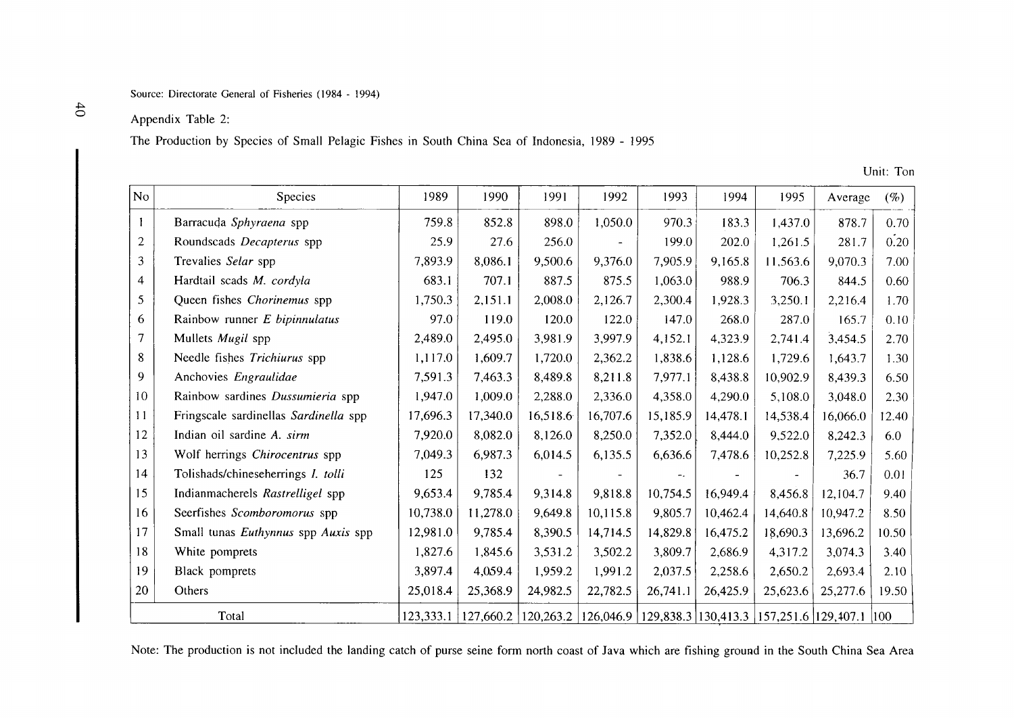#### Source: Directorate General of Fisheries (1984 - 1994)

#### Appendix Table 2:

## The Production by Species of Small Pelagic Fishes in South China Sea of Indonesia, 1989 - 1995

Unit: Ton

| N <sub>0</sub> | Species                               | 1989     | 1990                                                                                                | 1991     | 1992     | 1993     | 1994     | 1995     | Average  | $(\%)$ |
|----------------|---------------------------------------|----------|-----------------------------------------------------------------------------------------------------|----------|----------|----------|----------|----------|----------|--------|
|                | Barracuda Sphyraena spp               | 759.8    | 852.8                                                                                               | 898.0    | 1,050.0  | 970.3    | 183.3    | 1,437.0  | 878.7    | 0.70   |
| $\overline{2}$ | Roundscads Decapterus spp             | 25.9     | 27.6                                                                                                | 256.0    |          | 199.0    | 202.0    | 1,261.5  | 281.7    | 0.20   |
| 3              | Trevalies Selar spp                   | 7,893.9  | 8,086.1                                                                                             | 9,500.6  | 9,376.0  | 7,905.9  | 9,165.8  | 11,563.6 | 9,070.3  | 7.00   |
| 4              | Hardtail scads M. cordyla             | 683.1    | 707.1                                                                                               | 887.5    | 875.5    | 1,063.0  | 988.9    | 706.3    | 844.5    | 0.60   |
| 5              | Queen fishes Chorinemus spp           | 1,750.3  | 2,151.1                                                                                             | 2,008.0  | 2,126.7  | 2,300.4  | 1,928.3  | 3,250.1  | 2,216.4  | 1.70   |
| 6              | Rainbow runner E bipinnulatus         | 97.0     | 119.0                                                                                               | 120.0    | 122.0    | 147.0    | 268.0    | 287.0    | 165.7    | 0.10   |
| $\tau$         | Mullets Mugil spp                     | 2,489.0  | 2,495.0                                                                                             | 3,981.9  | 3,997.9  | 4,152.1  | 4,323.9  | 2,741.4  | 3,454.5  | 2.70   |
| 8              | Needle fishes Trichiurus spp          | 1,117.0  | 1,609.7                                                                                             | 1,720.0  | 2,362.2  | 1,838.6  | 1,128.6  | 1,729.6  | 1,643.7  | 1.30   |
| 9              | Anchovies Engraulidae                 | 7,591.3  | 7,463.3                                                                                             | 8,489.8  | 8,211.8  | 7,977.1  | 8,438.8  | 10,902.9 | 8,439.3  | 6.50   |
| 10             | Rainbow sardines Dussumieria spp      | 1,947.0  | 1,009.0                                                                                             | 2,288.0  | 2,336.0  | 4,358.0  | 4,290.0  | 5,108.0  | 3,048.0  | 2.30   |
| 11             | Fringscale sardinellas Sardinella spp | 17,696.3 | 17,340.0                                                                                            | 16,518.6 | 16,707.6 | 15,185.9 | 14,478.1 | 14,538.4 | 16,066.0 | 12.40  |
| 12             | Indian oil sardine A. sirm            | 7,920.0  | 8,082.0                                                                                             | 8,126.0  | 8,250.0  | 7,352.0  | 8,444.0  | 9,522.0  | 8,242.3  | 6.0    |
| 13             | Wolf herrings Chirocentrus spp        | 7,049.3  | 6,987.3                                                                                             | 6,014.5  | 6,135.5  | 6,636.6  | 7,478.6  | 10,252.8 | 7,225.9  | 5.60   |
| 14             | Tolishads/chineseherrings I. tolli    | 125      | 132                                                                                                 |          |          |          |          |          | 36.7     | 0.01   |
| 15             | Indianmacherels Rastrelligel spp      | 9,653.4  | 9,785.4                                                                                             | 9,314.8  | 9,818.8  | 10,754.5 | 16,949.4 | 8,456.8  | 12,104.7 | 9.40   |
| 16             | Seerfishes Scomboromorus spp          | 10,738.0 | 11,278.0                                                                                            | 9,649.8  | 10,115.8 | 9,805.7  | 10,462.4 | 14,640.8 | 10,947.2 | 8.50   |
| 17             | Small tunas Euthynnus spp Auxis spp   | 12,981.0 | 9,785.4                                                                                             | 8,390.5  | 14,714.5 | 14,829.8 | 16,475.2 | 18,690.3 | 13,696.2 | 10.50  |
| 18             | White pomprets                        | 1,827.6  | 1,845.6                                                                                             | 3,531.2  | 3,502.2  | 3,809.7  | 2,686.9  | 4,317.2  | 3,074.3  | 3.40   |
| 19             | Black pomprets                        | 3,897.4  | 4,059.4                                                                                             | 1,959.2  | 1,991.2  | 2,037.5  | 2,258.6  | 2,650.2  | 2,693.4  | 2.10   |
| 20             | Others                                | 25,018.4 | 25,368.9                                                                                            | 24,982.5 | 22,782.5 | 26,741.1 | 26,425.9 | 25,623.6 | 25,277.6 | 19.50  |
|                | Total                                 |          | 123,333.1   127,660.2   120,263.2   126,046.9   129,838.3   130,413.3   157,251.6   129,407.1   100 |          |          |          |          |          |          |        |

Note: The production is not included the landing catch of purse seine form north coast of Java which are fishing ground in the South China Sea Area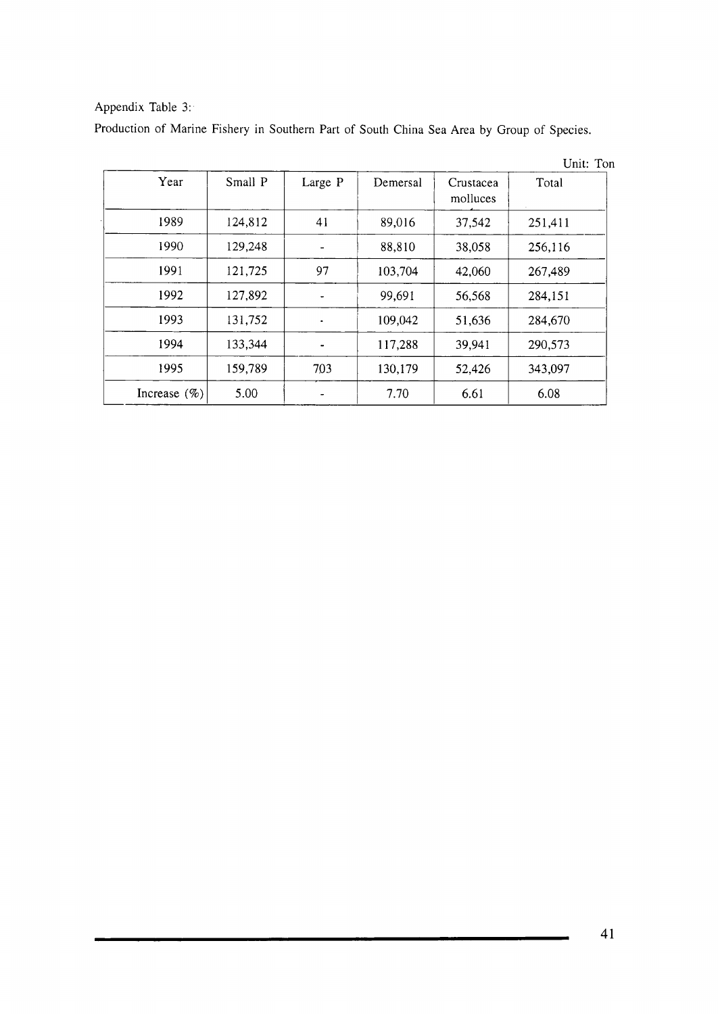Appendix Table 3:

Production of Marine Fishery in Southern Part of South China Sea Area by Group of Species.

|                  |         |         |          |                       | Unit: Ton |
|------------------|---------|---------|----------|-----------------------|-----------|
| Year             | Small P | Large P | Demersal | Crustacea<br>molluces | Total     |
| 1989             | 124,812 | 41      | 89,016   | 37,542                | 251,411   |
| 1990             | 129,248 |         | 88,810   | 38,058                | 256,116   |
| 1991             | 121,725 | 97      | 103,704  | 42,060                | 267,489   |
| 1992             | 127,892 |         | 99,691   | 56,568                | 284,151   |
| 1993             | 131,752 |         | 109,042  | 51,636                | 284,670   |
| 1994             | 133,344 |         | 117,288  | 39,941                | 290,573   |
| 1995             | 159,789 | 703     | 130,179  | 52,426                | 343,097   |
| Increase $(\% )$ | 5.00    |         | 7.70     | 6.61                  | 6.08      |